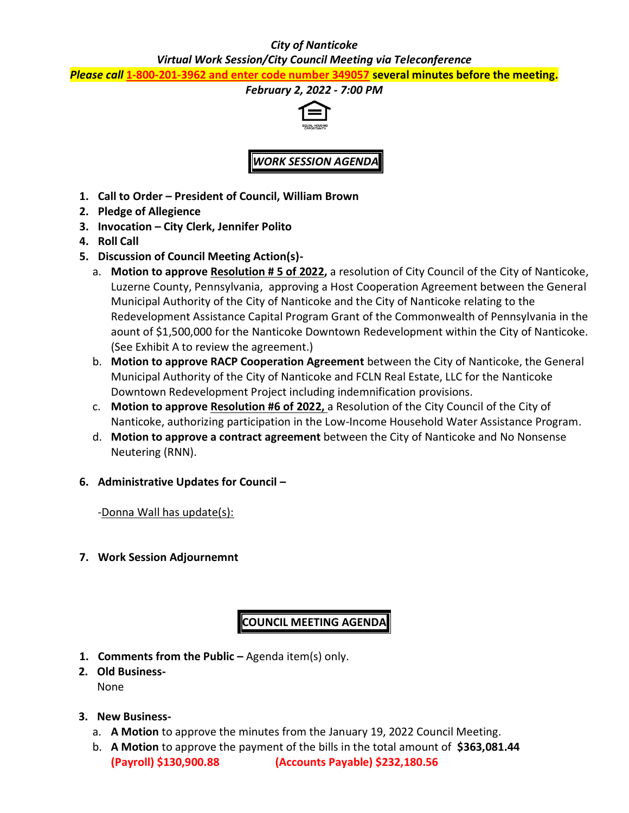## *City of Nanticoke*

## *Virtual Work Session/City Council Meeting via Teleconference*

*Please call* **1-800-201-3962 and enter code number 349057 several minutes before the meeting.**

#### *February 2, 2022 - 7:00 PM*



# *WORK SESSION AGENDA*

- **1. Call to Order – President of Council, William Brown**
- **2. Pledge of Allegience**
- **3. Invocation – City Clerk, Jennifer Polito**
- **4. Roll Call**
- **5. Discussion of Council Meeting Action(s)**
	- a. **Motion to approve Resolution # 5 of 2022,** a resolution of City Council of the City of Nanticoke, Luzerne County, Pennsylvania, approving a Host Cooperation Agreement between the General Municipal Authority of the City of Nanticoke and the City of Nanticoke relating to the Redevelopment Assistance Capital Program Grant of the Commonwealth of Pennsylvania in the aount of \$1,500,000 for the Nanticoke Downtown Redevelopment within the City of Nanticoke. (See Exhibit A to review the agreement.)
	- b. **Motion to approve RACP Cooperation Agreement** between the City of Nanticoke, the General Municipal Authority of the City of Nanticoke and FCLN Real Estate, LLC for the Nanticoke Downtown Redevelopment Project including indemnification provisions.
	- c. **Motion to approve Resolution #6 of 2022,** a Resolution of the City Council of the City of Nanticoke, authorizing participation in the Low-Income Household Water Assistance Program.
	- d. **Motion to approve a contract agreement** between the City of Nanticoke and No Nonsense Neutering (RNN).
- **6. Administrative Updates for Council –**

-Donna Wall has update(s):

**7. Work Session Adjournemnt**

# **COUNCIL MEETING AGENDA**

- **1. Comments from the Public –** Agenda item(s) only.
- **2. Old Business-**None
- **3. New Business**
	- a. **A Motion** to approve the minutes from the January 19, 2022 Council Meeting.
	- b. **A Motion** to approve the payment of the bills in the total amount of **\$363,081.44 (Payroll) \$130,900.88 (Accounts Payable) \$232,180.56**